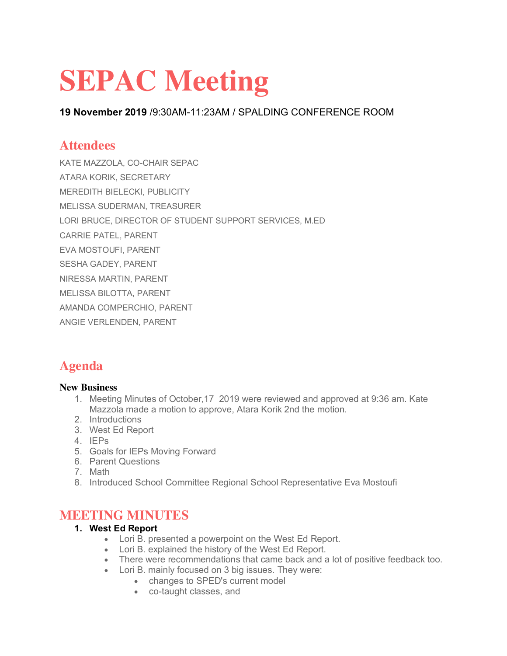# **SEPAC Meeting**

**19 November 2019** /9:30AM-11:23AM / SPALDING CONFERENCE ROOM

## **Attendees**

KATE MAZZOLA, CO-CHAIR SEPAC

ATARA KORIK, SECRETARY

MEREDITH BIELECKI, PUBLICITY

MELISSA SUDERMAN, TREASURER

LORI BRUCE, DIRECTOR OF STUDENT SUPPORT SERVICES, M.ED

CARRIE PATEL, PARENT

EVA MOSTOUFI, PARENT

SESHA GADEY, PARENT

NIRESSA MARTIN, PARENT

MELISSA BILOTTA, PARENT

AMANDA COMPERCHIO, PARENT

ANGIE VERLENDEN, PARENT

# **Agenda**

#### **New Business**

- 1. Meeting Minutes of October,17 2019 were reviewed and approved at 9:36 am. Kate Mazzola made a motion to approve, Atara Korik 2nd the motion.
- 2. Introductions
- 3. West Ed Report
- 4. IEPs
- 5. Goals for IEPs Moving Forward
- 6. Parent Questions
- 7. Math
- 8. Introduced School Committee Regional School Representative Eva Mostoufi

### **MEETING MINUTES**

#### **1. West Ed Report**

- Lori B. presented a powerpoint on the West Ed Report.
- Lori B. explained the history of the West Ed Report.
- There were recommendations that came back and a lot of positive feedback too.
- Lori B. mainly focused on 3 big issues. They were:
	- changes to SPED's current model
	- co-taught classes, and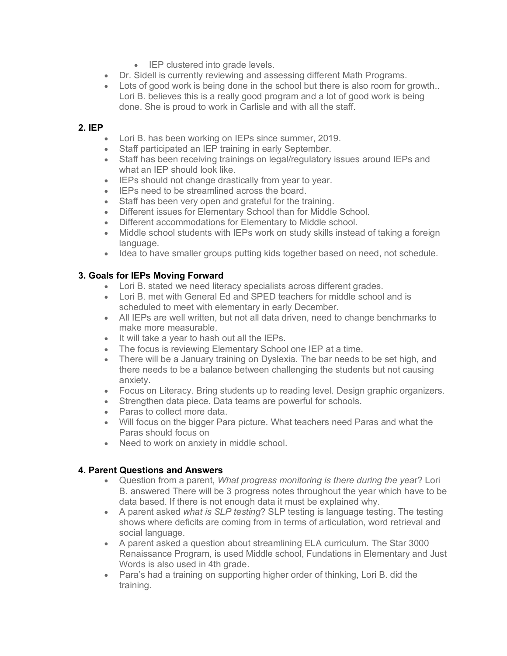- IEP clustered into grade levels.
- Dr. Sidell is currently reviewing and assessing different Math Programs.
- Lots of good work is being done in the school but there is also room for growth.. Lori B. believes this is a really good program and a lot of good work is being done. She is proud to work in Carlisle and with all the staff.

#### **2. IEP**

- Lori B. has been working on IEPs since summer, 2019.
- Staff participated an IEP training in early September.
- Staff has been receiving trainings on legal/regulatory issues around IEPs and what an IEP should look like.
- IEPs should not change drastically from year to year.
- IEPs need to be streamlined across the board.
- Staff has been very open and grateful for the training.
- Different issues for Elementary School than for Middle School.
- Different accommodations for Elementary to Middle school.
- Middle school students with IEPs work on study skills instead of taking a foreign language.
- Idea to have smaller groups putting kids together based on need, not schedule.

#### **3. Goals for IEPs Moving Forward**

- Lori B. stated we need literacy specialists across different grades.
- Lori B. met with General Ed and SPED teachers for middle school and is scheduled to meet with elementary in early December.
- All IEPs are well written, but not all data driven, need to change benchmarks to make more measurable.
- It will take a year to hash out all the IEPs.
- The focus is reviewing Elementary School one IEP at a time.<br>• There will be a January training on Dyslexia. The bar needs to
- There will be a January training on Dyslexia. The bar needs to be set high, and there needs to be a balance between challenging the students but not causing anxiety.
- Focus on Literacy. Bring students up to reading level. Design graphic organizers.
- Strengthen data piece. Data teams are powerful for schools.
- Paras to collect more data.
- Will focus on the bigger Para picture. What teachers need Paras and what the Paras should focus on
- Need to work on anxiety in middle school.

#### **4. Parent Questions and Answers**

- Question from a parent, *What progress monitoring is there during the yea*r? Lori B. answered There will be 3 progress notes throughout the year which have to be data based. If there is not enough data it must be explained why.
- A parent asked *what is SLP testing*? SLP testing is language testing. The testing shows where deficits are coming from in terms of articulation, word retrieval and social language.
- A parent asked a question about streamlining ELA curriculum. The Star 3000 Renaissance Program, is used Middle school, Fundations in Elementary and Just Words is also used in 4th grade.
- Para's had a training on supporting higher order of thinking, Lori B. did the training.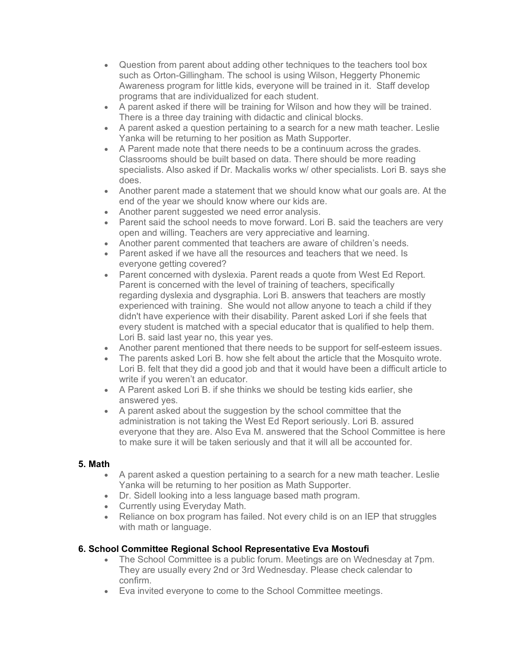- Question from parent about adding other techniques to the teachers tool box such as Orton-Gillingham. The school is using Wilson, Heggerty Phonemic Awareness program for little kids, everyone will be trained in it. Staff develop programs that are individualized for each student.
- A parent asked if there will be training for Wilson and how they will be trained. There is a three day training with didactic and clinical blocks.
- A parent asked a question pertaining to a search for a new math teacher. Leslie Yanka will be returning to her position as Math Supporter.
- A Parent made note that there needs to be a continuum across the grades. Classrooms should be built based on data. There should be more reading specialists. Also asked if Dr. Mackalis works w/ other specialists. Lori B. says she does.
- Another parent made a statement that we should know what our goals are. At the end of the year we should know where our kids are.
- Another parent suggested we need error analysis.
- Parent said the school needs to move forward. Lori B. said the teachers are very open and willing. Teachers are very appreciative and learning.
- Another parent commented that teachers are aware of children's needs.
- Parent asked if we have all the resources and teachers that we need. Is everyone getting covered?
- Parent concerned with dyslexia. Parent reads a quote from West Ed Report. Parent is concerned with the level of training of teachers, specifically regarding dyslexia and dysgraphia. Lori B. answers that teachers are mostly experienced with training. She would not allow anyone to teach a child if they didn't have experience with their disability. Parent asked Lori if she feels that every student is matched with a special educator that is qualified to help them. Lori B. said last year no, this year yes.
- Another parent mentioned that there needs to be support for self-esteem issues.
- The parents asked Lori B. how she felt about the article that the Mosquito wrote. Lori B. felt that they did a good job and that it would have been a difficult article to write if you weren't an educator.
- A Parent asked Lori B. if she thinks we should be testing kids earlier, she answered yes.
- A parent asked about the suggestion by the school committee that the administration is not taking the West Ed Report seriously. Lori B. assured everyone that they are. Also Eva M. answered that the School Committee is here to make sure it will be taken seriously and that it will all be accounted for.

#### **5. Math**

- A parent asked a question pertaining to a search for a new math teacher. Leslie Yanka will be returning to her position as Math Supporter.
- Dr. Sidell looking into a less language based math program.
- Currently using Everyday Math.
- Reliance on box program has failed. Not every child is on an IEP that struggles with math or language.

#### **6. School Committee Regional School Representative Eva Mostoufi**

- The School Committee is a public forum. Meetings are on Wednesday at 7pm. They are usually every 2nd or 3rd Wednesday. Please check calendar to confirm.
- Eva invited everyone to come to the School Committee meetings.